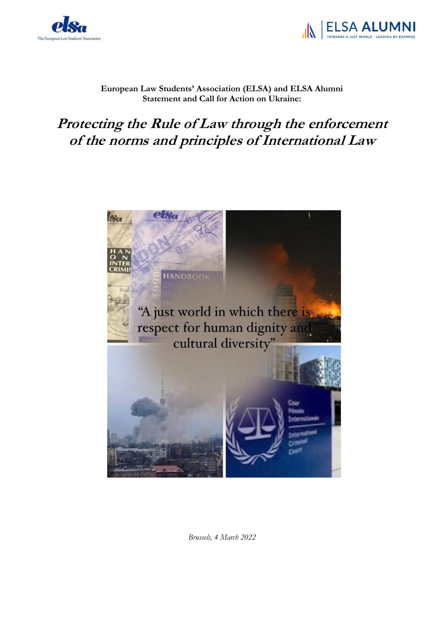



## **European Law Students' Association (ELSA) and ELSA Alumni Statement and Call for Action on Ukraine:**

## **Protecting the Rule of Law through the enforcement of the norms and principles of International Law**



*Brussels, 4 March 2022*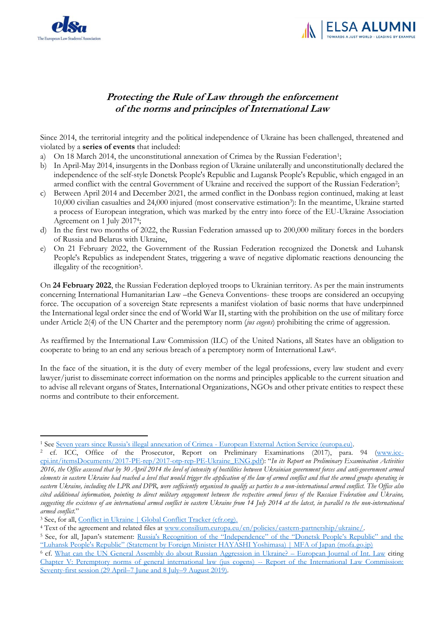



## **Protecting the Rule of Law through the enforcement of the norms and principles of International Law**

Since 2014, the territorial integrity and the political independence of Ukraine has been challenged, threatened and violated by a **series of events** that included:

- a) On 18 March 2014, the unconstitutional annexation of Crimea by the Russian Federation<sup>1</sup>;
- b) In April-May 2014, insurgents in the Donbass region of Ukraine unilaterally and unconstitutionally declared the independence of the self-style Donetsk People's Republic and Lugansk People's Republic, which engaged in an armed conflict with the central Government of Ukraine and received the support of the Russian Federation<sup>2</sup>;
- c) Between April 2014 and December 2021, the armed conflict in the Donbass region continued, making at least 10,000 civilian casualties and 24,000 injured (most conservative estimation<sup>3</sup> ): In the meantime, Ukraine started a process of European integration, which was marked by the entry into force of the EU-Ukraine Association Agreement on 1 July 2017<sup>4</sup> ;
- d) In the first two months of 2022, the Russian Federation amassed up to 200,000 military forces in the borders of Russia and Belarus with Ukraine,
- e) On 21 February 2022, the Government of the Russian Federation recognized the Donetsk and Luhansk People's Republics as independent States, triggering a wave of negative diplomatic reactions denouncing the illegality of the recognition<sup>5</sup>.

On **24 February 2022**, the Russian Federation deployed troops to Ukrainian territory. As per the main instruments concerning International Humanitarian Law –the Geneva Conventions- these troops are considered an occupying force. The occupation of a sovereign State represents a manifest violation of basic norms that have underpinned the International legal order since the end of World War II, starting with the prohibition on the use of military force under Article 2(4) of the UN Charter and the peremptory norm (*jus cogens*) prohibiting the crime of aggression.

As reaffirmed by the International Law Commission (ILC) of the United Nations, all States have an obligation to cooperate to bring to an end any serious breach of a peremptory norm of International Law<sup>6</sup>.

In the face of the situation, it is the duty of every member of the legal professions, every law student and every lawyer/jurist to disseminate correct information on the norms and principles applicable to the current situation and to advise all relevant organs of States, International Organizations, NGOs and other private entities to respect these norms and contribute to their enforcement.

<sup>1</sup> See [Seven years since Russia's illegal annexation of Crimea](https://eeas.europa.eu/headquarters/headquarters-Homepage/37464/eu-non-recognition-policy-crimea-and-sevastopol-fact-sheet_en) - European External Action Service (europa.eu).

<sup>2</sup> cf. ICC, Office of the Prosecutor, Report on Preliminary Examinations (2017), para. 94 [\(www.icc](http://www.icc-cpi.int/itemsDocuments/2017-PE-rep/2017-otp-rep-PE-Ukraine_ENG.pdf)[cpi.int/itemsDocuments/2017-PE-rep/2017-otp-rep-PE-Ukraine\\_ENG.pdf\)](http://www.icc-cpi.int/itemsDocuments/2017-PE-rep/2017-otp-rep-PE-Ukraine_ENG.pdf): "*In its Report on Preliminary Examination Activities 2016, the Office assessed that by 30 April 2014 the level of intensity of hostilities between Ukrainian government forces and anti-government armed elements in eastern Ukraine had reached a level that would trigger the application of the law of armed conflict and that the armed groups operating in eastern Ukraine, including the LPR and DPR, were sufficiently organised to qualify as parties to a non-international armed conflict. The Office also cited additional information, pointing to direct military engagement between the respective armed forces of the Russian Federation and Ukraine, suggesting the existence of an international armed conflict in eastern Ukraine from 14 July 2014 at the latest, in parallel to the non-international armed conflict.*"

<sup>&</sup>lt;sup>3</sup> See, for all, [Conflict in Ukraine | Global Conflict Tracker \(cfr.org\).](https://www.cfr.org/global-conflict-tracker/conflict/conflict-ukraine)

<sup>4</sup> Text of the agreement and related files a[t www.consilium.europa.eu/en/policies/eastern-partnership/ukraine/.](http://www.consilium.europa.eu/en/policies/eastern-partnership/ukraine/)

<sup>&</sup>lt;sup>5</sup> See, for all, Japan's statement: Russia's Recognition of the "Independence" of the "Donetsk People's Republic" and the ["Luhansk People's Republic" \(Statement by Foreign Minister HAYASHI Yoshimasa\) | MFA of Japan \(mofa.](https://www.mofa.go.jp/press/release/press4e_003084.html)go.jp)

<sup>6</sup> cf. [What can the UN General Assembly do about Russian Aggression in Ukraine?](https://www.ejiltalk.org/what-can-the-un-general-assembly-do-about-russian-aggression-in-ukraine/) – European Journal of Int. Law citing [Chapter V: Peremptory norms of general international law \(jus cogens\) --](https://legal.un.org/ilc/reports/2019/english/chp5.pdf) Report of the International Law Commission: [Seventy-first session \(29 April](https://legal.un.org/ilc/reports/2019/english/chp5.pdf)–7 June and 8 July–9 August 2019).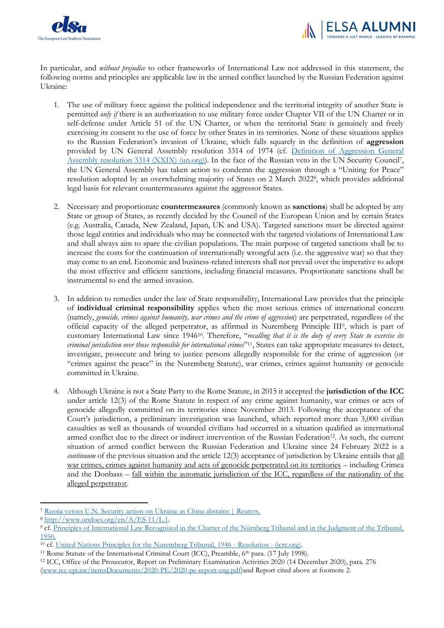



In particular, and *without prejudice* to other frameworks of International Law not addressed in this statement, the following norms and principles are applicable law in the armed conflict launched by the Russian Federation against Ukraine:

- 1. The use of military force against the political independence and the territorial integrity of another State is permitted *only if* there is an authorization to use military force under Chapter VII of the UN Charter or in self-defense under Article 51 of the UN Charter, or when the territorial State is genuinely and freely exercising its consent to the use of force by other States in its territories. None of these situations applies to the Russian Federation's invasion of Ukraine, which falls squarely in the definition of **aggression** provided by UN General Assembly resolution 3314 of 1974 (cf. [Definition of Aggression General](https://legal.un.org/avl/ha/da/da.html)  [Assembly resolution 3314 \(XXIX\) \(un.org\)\)](https://legal.un.org/avl/ha/da/da.html). In the face of the Russian veto in the UN Security Council<sup>7</sup>, the UN General Assembly has taken action to condemn the aggression through a "Uniting for Peace" resolution adopted by an overwhelming majority of States on 2 March 2022<sup>8</sup> , which provides additional legal basis for relevant countermeasures against the aggressor States.
- 2. Necessary and proportionate **countermeasures** (commonly known as **sanctions**) shall be adopted by any State or group of States, as recently decided by the Council of the European Union and by certain States (e.g. Australia, Canada, New Zealand, Japan, UK and USA). Targeted sanctions must be directed against those legal entities and individuals who may be connected with the targeted violations of International Law and shall always aim to spare the civilian populations. The main purpose of targeted sanctions shall be to increase the costs for the continuation of internationally wrongful acts (i.e. the aggressive war) so that they may come to an end. Economic and business-related interests shall not prevail over the imperative to adopt the most effective and efficient sanctions, including financial measures. Proportionate sanctions shall be instrumental to end the armed invasion.
- 3. In addition to remedies under the law of State responsibility, International Law provides that the principle of **individual criminal responsibility** applies when the most serious crimes of international concern (namely, *genocide, crimes against humanity, war crimes and the crime of aggression*) are perpetrated, regardless of the official capacity of the alleged perpetrator, as affirmed in Nuremberg Principle III<sup>9</sup>, which is part of customary International Law since 194610. Therefore, "*recalling that it is the duty of every State to exercise its criminal jurisdiction over those responsible for international crimes*" <sup>11</sup>, States can take appropriate measures to detect, investigate, prosecute and bring to justice persons allegedly responsible for the crime of aggression (or "crimes against the peace" in the Nuremberg Statute), war crimes, crimes against humanity or genocide committed in Ukraine.
- 4. Although Ukraine is not a State Party to the Rome Statute, in 2015 it accepted the **jurisdiction of the ICC** under article 12(3) of the Rome Statute in respect of any crime against humanity, war crimes or acts of genocide allegedly committed on its territories since November 2013. Following the acceptance of the Court's jurisdiction, a preliminary investigation was launched, which reported more than 3,000 civilian casualties as well as thousands of wounded civilians had occurred in a situation qualified as international armed conflict due to the direct or indirect intervention of the Russian Federation12. As such, the current situation of armed conflict between the Russian Federation and Ukraine since 24 February 2022 is a *continuum* of the previous situation and the article 12(3) acceptance of jurisdiction by Ukraine entails that all war crimes, crimes against humanity and acts of genocide perpetrated on its territories – including Crimea and the Donbass – fall within the automatic jurisdiction of the ICC, regardless of the nationality of the alleged perpetrator.

<sup>7</sup> [Russia vetoes U.N. Security action on Ukraine as China abstains | Reuters.](https://www.reuters.com/world/russia-vetoes-un-security-action-ukraine-china-abstains-2022-02-25/)

<sup>8</sup> [http://www.undocs.org/en/A/ES-11/L.1.](http://www.undocs.org/en/A/ES-11/L.1)

<sup>9</sup> cf. [Principles of International Law Recognized in the Charter of the Nürnberg Tribunal and in the Judgment of the Tribunal,](https://legal.un.org/ilc/texts/instruments/english/draft_articles/7_1_1950.pdf)  [1950.](https://legal.un.org/ilc/texts/instruments/english/draft_articles/7_1_1950.pdf)

<sup>&</sup>lt;sup>10</sup> cf[. United Nations Principles for the Nuremberg Tribunal, 1946 -](https://ihl-databases.icrc.org/applic/ihl/ihl.nsf/Article.xsp?action=openDocument&documentId=955674CD9E2A80AFC12563CD00519DD1) Resolution - (icrc.org).

<sup>&</sup>lt;sup>11</sup> Rome Statute of the International Criminal Court (ICC), Preamble,  $6<sup>th</sup>$  para. (17 July 1998).

<sup>12</sup> ICC, Office of the Prosecutor, Report on Preliminary Examination Activities 2020 (14 December 2020), para. 276 [\(www.icc-cpi.int/itemsDocuments/2020-PE/2020-pe-report-eng.pdf\)](http://www.icc-cpi.int/itemsDocuments/2020-PE/2020-pe-report-eng.pdf)and Report cited above at footnote 2.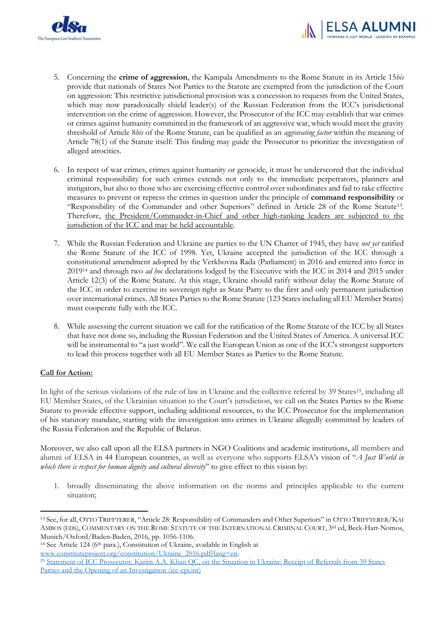



- 5. Concerning the **crime of aggression**, the Kampala Amendments to the Rome Statute in its Article 15*bis* provide that nationals of States Not Parties to the Statute are exempted from the jurisdiction of the Court on aggression: This restrictive jurisdictional provision was a concession to requests from the United States, which may now paradoxically shield leader(s) of the Russian Federation from the ICC's jurisdictional intervention on the crime of aggression. However, the Prosecutor of the ICC may establish that war crimes or crimes against humanity committed in the framework of an aggressive war, which would meet the gravity threshold of Article 8*bis* of the Rome Statute, can be qualified as an *aggravating factor* within the meaning of Article 78(1) of the Statute itself: This finding may guide the Prosecutor to prioritize the investigation of alleged atrocities.
- 6. In respect of war crimes, crimes against humanity or genocide, it must be underscored that the individual criminal responsibility for such crimes extends not only to the immediate perpetrators, planners and instigators, but also to those who are exercising effective control over subordinates and fail to take effective measures to prevent or repress the crimes in question under the principle of **command responsibility** or "Responsibility of the Commander and other Superiors" defined in Article 28 of the Rome Statute<sup>13</sup>. Therefore, the President/Commander-in-Chief and other high-ranking leaders are subjected to the jurisdiction of the ICC and may be held accountable.
- 7. While the Russian Federation and Ukraine are parties to the UN Charter of 1945, they have *not yet* ratified the Rome Statute of the ICC of 1998. Yet, Ukraine accepted the jurisdiction of the ICC through a constitutional amendment adopted by the Verkhovna Rada (Parliament) in 2016 and entered into force in 2019<sup>14</sup> and through two *ad hoc* declarations lodged by the Executive with the ICC in 2014 and 2015 under Article 12(3) of the Rome Statute. At this stage, Ukraine should ratify without delay the Rome Statute of the ICC in order to exercise its sovereign right as State Party to the first and only permanent jurisdiction over international crimes. All States Parties to the Rome Statute (123 States including all EU Member States) must cooperate fully with the ICC.
- 8. While assessing the current situation we call for the ratification of the Rome Statute of the ICC by all States that have not done so, including the Russian Federation and the United States of America. A universal ICC will be instrumental to "a just world". We call the European Union as one of the ICC's strongest supporters to lead this process together with all EU Member States as Parties to the Rome Statute.

## **Call for Action:**

In light of the serious violations of the rule of law in Ukraine and the collective referral by 39 States<sup>15</sup>, including all EU Member States, of the Ukrainian situation to the Court's jurisdiction, we call on the States Parties to the Rome Statute to provide effective support, including additional resources, to the ICC Prosecutor for the implementation of his statutory mandate, starting with the investigation into crimes in Ukraine allegedly committed by leaders of the Russia Federation and the Republic of Belarus.

Moreover, we also call upon all the ELSA partners in NGO Coalitions and academic institutions, all members and alumni of ELSA in 44 European countries, as well as everyone who supports ELSA's vision of "*A Just World in which there is respect for human dignity and cultural diversity*'' to give effect to this vision by:

1. broadly disseminating the above information on the norms and principles applicable to the current situation;

<sup>13</sup> See, for all, OTTO TRIFFTERER, "Article 28: Responsibility of Commanders and Other Superiors" in OTTO TRIFFTERER/KAI AMBOS (EDS), COMMENTARY ON THE ROME STATUTE OF THE INTERNATIONAL CRIMINAL COURT, 3<sup>rd</sup> ed, Beck-Hart-Nomos, Munich/Oxford/Baden-Baden, 2016, pp. 1056-1106.

<sup>14</sup> See Article 124 (6th para.), Constitution of Ukraine, available in English at [www.constituteproject.org/constitution/Ukraine\\_2016.pdf?lang=en.](http://www.constituteproject.org/constitution/Ukraine_2016.pdf?lang=en)

<sup>15</sup> [Statement of ICC Prosecutor, Karim A.A. Khan QC, on the Situation in Ukraine: Receipt of Referrals from 39 States](https://www.icc-cpi.int/Pages/item.aspx?name=2022-prosecutor-statement-referrals-ukraine)  [Parties and the Opening of an Investigation \(icc-cpi.int\)](https://www.icc-cpi.int/Pages/item.aspx?name=2022-prosecutor-statement-referrals-ukraine)